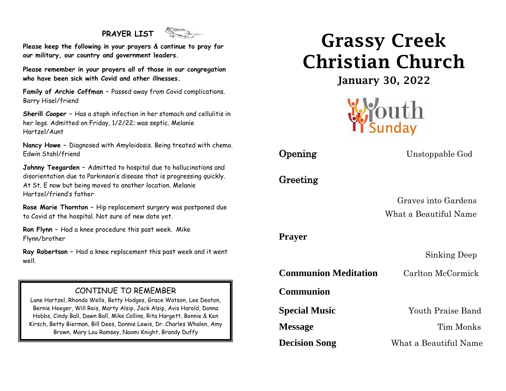## **PRAYER LIST**



**Please keep the following in your prayers & continue to pray for our military, our country and government leaders.**

**Please remember in your prayers all of those in our congregation who have been sick with Covid and other illnesses.**

**Family of Archie Coffman –** Passed away from Covid complications. Barry Hisel/friend

**Sherill Cooper –** Has a staph infection in her stomach and cellulitis in her legs. Admitted on Friday, 1/2/22; was septic. Melanie Hartzel/Aunt

**Nancy Howe –** Diagnosed with Amyloidosis. Being treated with chemo. Edwin Stahl/friend

**Johnny Teegarden –** Admitted to hospital due to hallucinations and disorientation due to Parkinson's disease that is progressing quickly. At St. E now but being moved to another location. Melanie Hartzel/friend's father

**Rose Marie Thornton –** Hip replacement surgery was postponed due to Covid at the hospital. Not sure of new date yet.

**Ron Flynn –** Had a knee procedure this past week. Mike Flynn/brother

**Ray Robertson –** Had a knee replacement this past week and it went well.

#### CONTINUE TO REMEMBER

Bernie Heeger, Will Reis, Marty Alsip, Jack Alsip, Avis Harold, Donna Brown, Mary Lou Ramsey, Naomi Knight, Brandy DuffyLane Hartzel, Rhonda Wells, Betty Hodges, Grace Watson, Lee Deaton, Hobbs, Cindy Ball, Dawn Ball, Mike Collins, Rita Hargett, Bonnie & Ken Kirsch, Betty Bierman, Bill Dees, Donnie Lewis, Dr. Charles Whalen, Amy

# Grassy Creek Christian Church

January 30, 2022



**Opening** Unstoppable God

Greeting

 Graves into Gardens What a Beautiful Name

#### **Prayer**

Sinking Deep

**Communion Meditation** Carlton McCormick

**Communion** 

**Special Music** Youth Praise Band **Message** Tim Monks **Decision Song** What a Beautiful Name